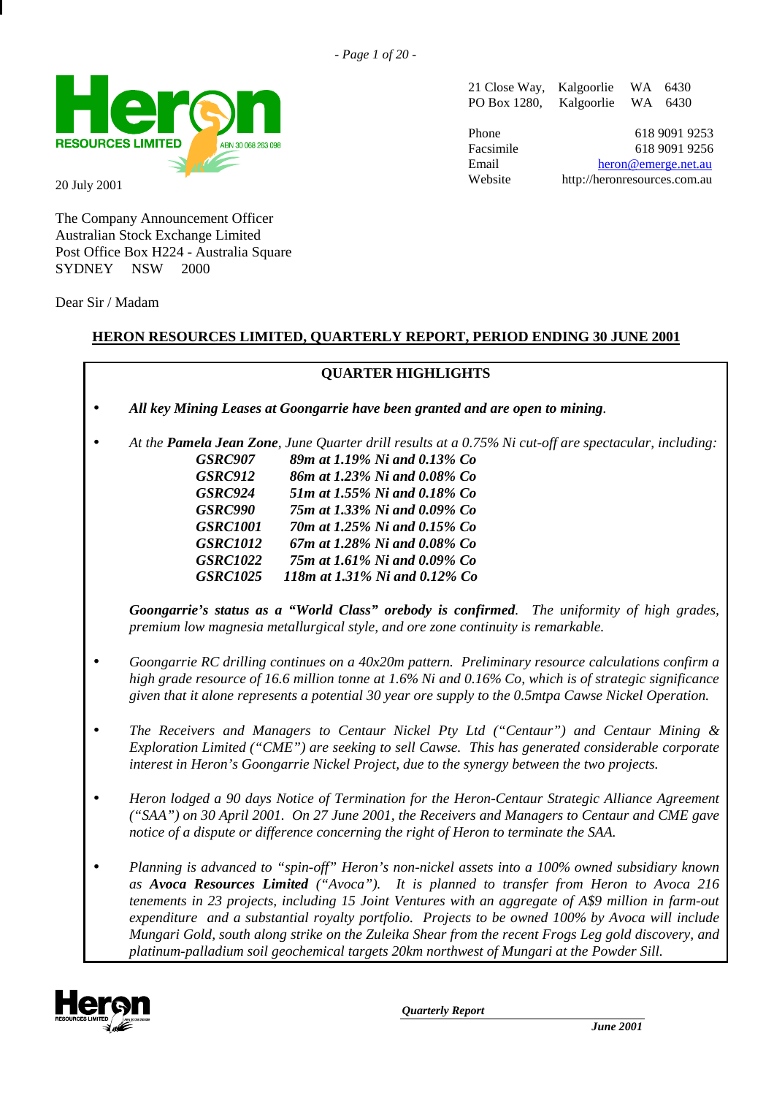

20 July 2001

The Company Announcement Officer Australian Stock Exchange Limited Post Office Box H224 - Australia Square SYDNEY NSW 2000

Dear Sir / Madam

#### **HERON RESOURCES LIMITED, QUARTERLY REPORT, PERIOD ENDING 30 JUNE 2001**

## **QUARTER HIGHLIGHTS** • *All key Mining Leases at Goongarrie have been granted and are open to mining.* • *At the Pamela Jean Zone, June Quarter drill results at a 0.75% Ni cut-off are spectacular, including: GSRC907 89m at 1.19% Ni and 0.13% Co GSRC912 86m at 1.23% Ni and 0.08% Co GSRC924 51m at 1.55% Ni and 0.18% Co GSRC990 75m at 1.33% Ni and 0.09% Co GSRC1001 70m at 1.25% Ni and 0.15% Co GSRC1012 67m at 1.28% Ni and 0.08% Co GSRC1022 75m at 1.61% Ni and 0.09% Co GSRC1025 118m at 1.31% Ni and 0.12% Co Goongarrie's status as a "World Class" orebody is confirmed. The uniformity of high grades, premium low magnesia metallurgical style, and ore zone continuity is remarkable.* • *Goongarrie RC drilling continues on a 40x20m pattern. Preliminary resource calculations confirm a high grade resource of 16.6 million tonne at 1.6% Ni and 0.16% Co, which is of strategic significance given that it alone represents a potential 30 year ore supply to the 0.5mtpa Cawse Nickel Operation.* • *The Receivers and Managers to Centaur Nickel Pty Ltd ("Centaur") and Centaur Mining & Exploration Limited ("CME") are seeking to sell Cawse. This has generated considerable corporate interest in Heron's Goongarrie Nickel Project, due to the synergy between the two projects.* • *Heron lodged a 90 days Notice of Termination for the Heron-Centaur Strategic Alliance Agreement ("SAA") on 30 April 2001. On 27 June 2001, the Receivers and Managers to Centaur and CME gave notice of a dispute or difference concerning the right of Heron to terminate the SAA.*

• *Planning is advanced to "spin-off" Heron's non-nickel assets into a 100% owned subsidiary known as Avoca Resources Limited ("Avoca"). It is planned to transfer from Heron to Avoca 216 tenements in 23 projects, including 15 Joint Ventures with an aggregate of A\$9 million in farm-out expenditure and a substantial royalty portfolio. Projects to be owned 100% by Avoca will include Mungari Gold, south along strike on the Zuleika Shear from the recent Frogs Leg gold discovery, and platinum-palladium soil geochemical targets 20km northwest of Mungari at the Powder Sill.*



*Quarterly Report*

21 Close Way, Kalgoorlie WA 6430 PO Box 1280, Kalgoorlie WA 6430

Phone 618 9091 9253 Facsimile 618 9091 9256 Email heron@emerge.net.au Website http://heronresources.com.au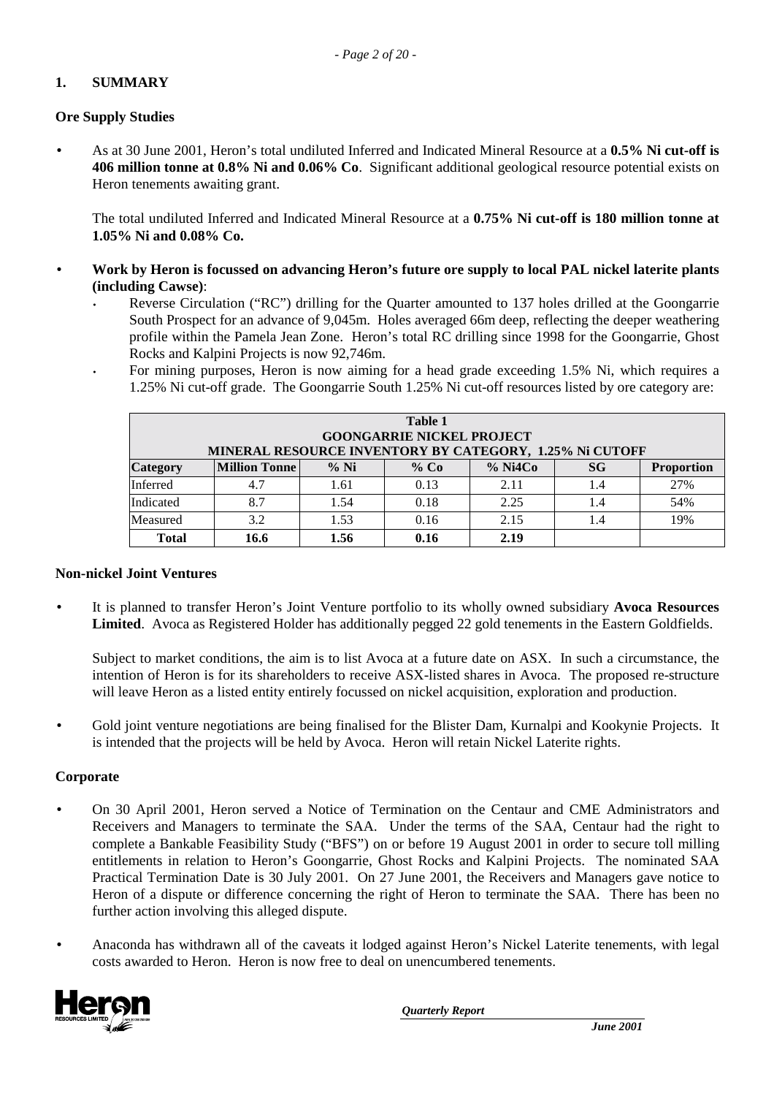#### **1. SUMMARY**

#### **Ore Supply Studies**

• As at 30 June 2001, Heron's total undiluted Inferred and Indicated Mineral Resource at a **0.5% Ni cut-off is 406 million tonne at 0.8% Ni and 0.06% Co**. Significant additional geological resource potential exists on Heron tenements awaiting grant.

The total undiluted Inferred and Indicated Mineral Resource at a **0.75% Ni cut-off is 180 million tonne at 1.05% Ni and 0.08% Co.**

- **Work by Heron is focussed on advancing Heron's future ore supply to local PAL nickel laterite plants (including Cawse)**:
	- Reverse Circulation ("RC") drilling for the Quarter amounted to 137 holes drilled at the Goongarrie South Prospect for an advance of 9,045m. Holes averaged 66m deep, reflecting the deeper weathering profile within the Pamela Jean Zone. Heron's total RC drilling since 1998 for the Goongarrie, Ghost Rocks and Kalpini Projects is now 92,746m.
	- For mining purposes, Heron is now aiming for a head grade exceeding 1.5% Ni, which requires a 1.25% Ni cut-off grade. The Goongarrie South 1.25% Ni cut-off resources listed by ore category are:

| <b>Table 1</b><br><b>GOONGARRIE NICKEL PROJECT</b><br>MINERAL RESOURCE INVENTORY BY CATEGORY, 1.25% Ni CUTOFF |                                                                                         |      |      |      |     |     |  |
|---------------------------------------------------------------------------------------------------------------|-----------------------------------------------------------------------------------------|------|------|------|-----|-----|--|
| Category                                                                                                      | $%$ Ni4Co<br>$%$ Ni<br><b>Million Tonne</b><br>$%$ Co<br><b>SG</b><br><b>Proportion</b> |      |      |      |     |     |  |
| Inferred                                                                                                      | 4.7                                                                                     | 1.61 | 0.13 | 2.11 |     | 27% |  |
| Indicated                                                                                                     | 8.7                                                                                     | 1.54 | 0.18 | 2.25 | 1.4 | 54% |  |
| Measured                                                                                                      | 3.2                                                                                     | 1.53 | 0.16 | 2.15 | 1.4 | 19% |  |
| <b>Total</b>                                                                                                  | 16.6                                                                                    | 1.56 | 0.16 | 2.19 |     |     |  |

#### **Non-nickel Joint Ventures**

• It is planned to transfer Heron's Joint Venture portfolio to its wholly owned subsidiary **Avoca Resources Limited**. Avoca as Registered Holder has additionally pegged 22 gold tenements in the Eastern Goldfields.

Subject to market conditions, the aim is to list Avoca at a future date on ASX. In such a circumstance, the intention of Heron is for its shareholders to receive ASX-listed shares in Avoca. The proposed re-structure will leave Heron as a listed entity entirely focussed on nickel acquisition, exploration and production.

• Gold joint venture negotiations are being finalised for the Blister Dam, Kurnalpi and Kookynie Projects. It is intended that the projects will be held by Avoca. Heron will retain Nickel Laterite rights.

#### **Corporate**

- On 30 April 2001, Heron served a Notice of Termination on the Centaur and CME Administrators and Receivers and Managers to terminate the SAA. Under the terms of the SAA, Centaur had the right to complete a Bankable Feasibility Study ("BFS") on or before 19 August 2001 in order to secure toll milling entitlements in relation to Heron's Goongarrie, Ghost Rocks and Kalpini Projects. The nominated SAA Practical Termination Date is 30 July 2001. On 27 June 2001, the Receivers and Managers gave notice to Heron of a dispute or difference concerning the right of Heron to terminate the SAA. There has been no further action involving this alleged dispute.
- Anaconda has withdrawn all of the caveats it lodged against Heron's Nickel Laterite tenements, with legal costs awarded to Heron. Heron is now free to deal on unencumbered tenements.

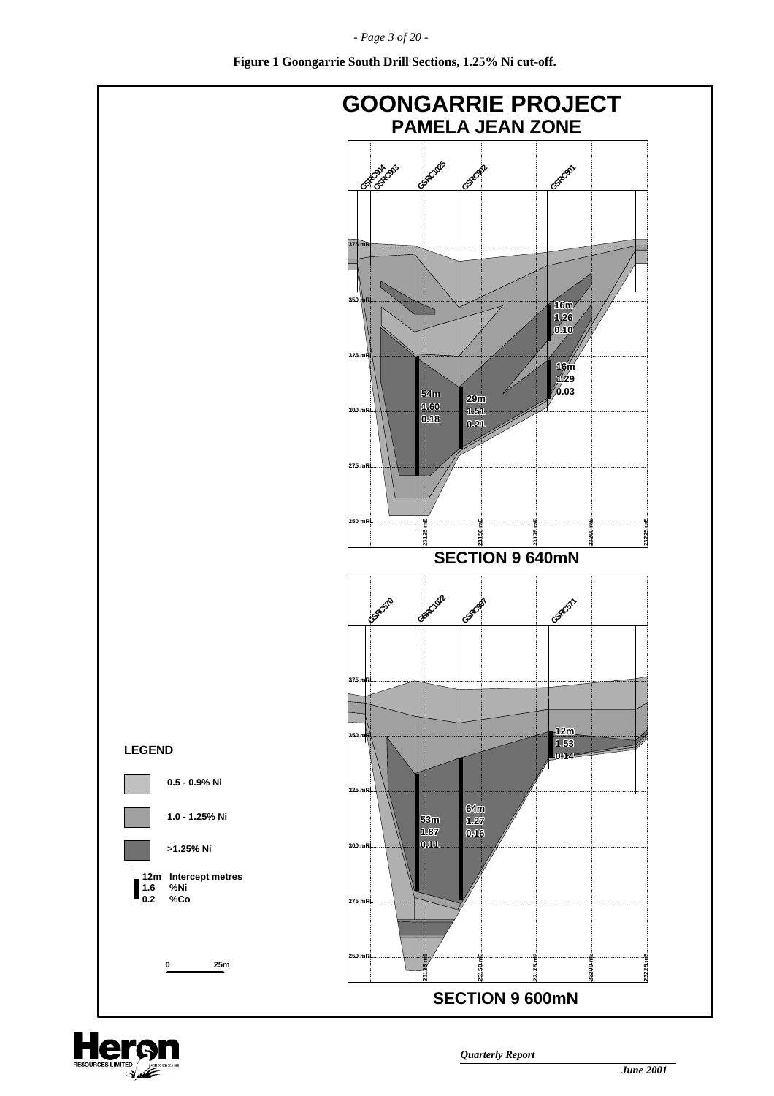*- Page 3 of 20 -*



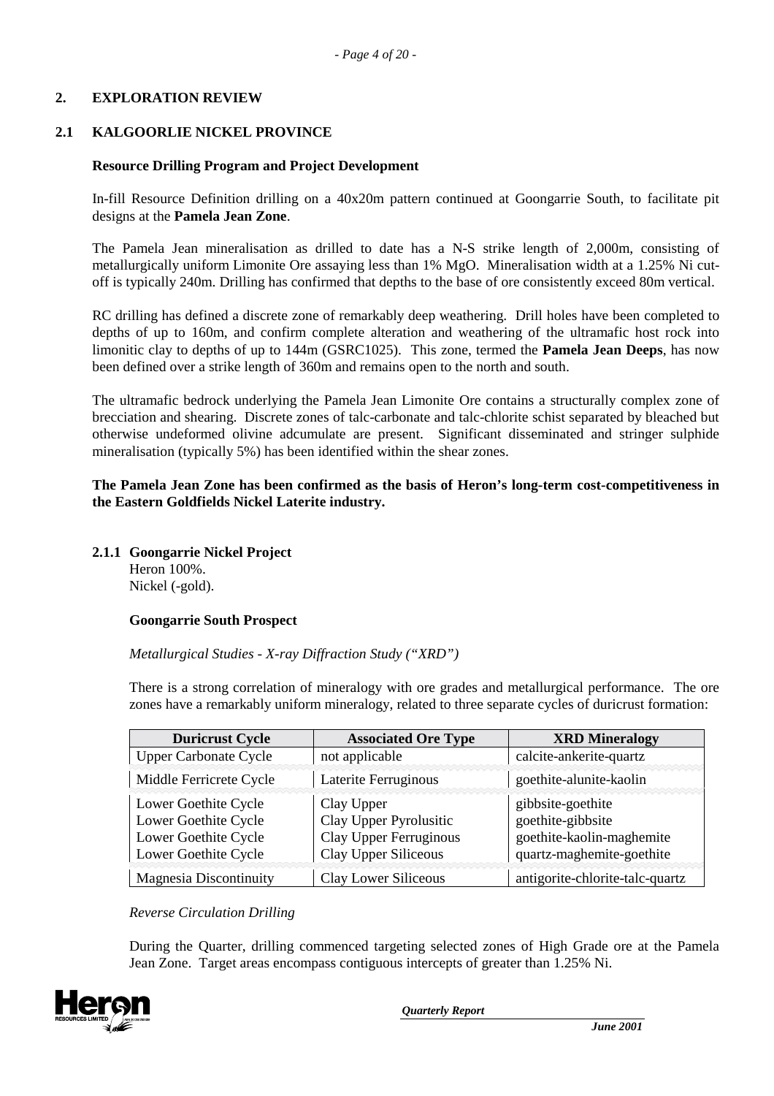#### **2. EXPLORATION REVIEW**

#### **2.1 KALGOORLIE NICKEL PROVINCE**

#### **Resource Drilling Program and Project Development**

In-fill Resource Definition drilling on a 40x20m pattern continued at Goongarrie South, to facilitate pit designs at the **Pamela Jean Zone**.

The Pamela Jean mineralisation as drilled to date has a N-S strike length of 2,000m, consisting of metallurgically uniform Limonite Ore assaying less than 1% MgO. Mineralisation width at a 1.25% Ni cutoff is typically 240m. Drilling has confirmed that depths to the base of ore consistently exceed 80m vertical.

RC drilling has defined a discrete zone of remarkably deep weathering. Drill holes have been completed to depths of up to 160m, and confirm complete alteration and weathering of the ultramafic host rock into limonitic clay to depths of up to 144m (GSRC1025). This zone, termed the **Pamela Jean Deeps**, has now been defined over a strike length of 360m and remains open to the north and south.

The ultramafic bedrock underlying the Pamela Jean Limonite Ore contains a structurally complex zone of brecciation and shearing. Discrete zones of talc-carbonate and talc-chlorite schist separated by bleached but otherwise undeformed olivine adcumulate are present. Significant disseminated and stringer sulphide mineralisation (typically 5%) has been identified within the shear zones.

#### **The Pamela Jean Zone has been confirmed as the basis of Heron's long-term cost-competitiveness in the Eastern Goldfields Nickel Laterite industry.**

**2.1.1 Goongarrie Nickel Project**

Heron 100%. Nickel (-gold).

#### **Goongarrie South Prospect**

*Metallurgical Studies - X-ray Diffraction Study ("XRD")*

There is a strong correlation of mineralogy with ore grades and metallurgical performance. The ore zones have a remarkably uniform mineralogy, related to three separate cycles of duricrust formation:

| <b>Duricrust Cycle</b>                                                                       | <b>Associated Ore Type</b>                                                             | <b>XRD</b> Mineralogy                                                                            |
|----------------------------------------------------------------------------------------------|----------------------------------------------------------------------------------------|--------------------------------------------------------------------------------------------------|
| <b>Upper Carbonate Cycle</b>                                                                 | not applicable                                                                         | calcite-ankerite-quartz                                                                          |
| Middle Ferricrete Cycle                                                                      | Laterite Ferruginous                                                                   | goethite-alunite-kaolin                                                                          |
| Lower Goethite Cycle<br>Lower Goethite Cycle<br>Lower Goethite Cycle<br>Lower Goethite Cycle | Clay Upper<br>Clay Upper Pyrolusitic<br>Clay Upper Ferruginous<br>Clay Upper Siliceous | gibbsite-goethite<br>goethite-gibbsite<br>goethite-kaolin-maghemite<br>quartz-maghemite-goethite |
| <b>Magnesia Discontinuity</b>                                                                | Clay Lower Siliceous                                                                   | antigorite-chlorite-talc-quartz                                                                  |

*Reverse Circulation Drilling*

During the Quarter, drilling commenced targeting selected zones of High Grade ore at the Pamela Jean Zone. Target areas encompass contiguous intercepts of greater than 1.25% Ni.

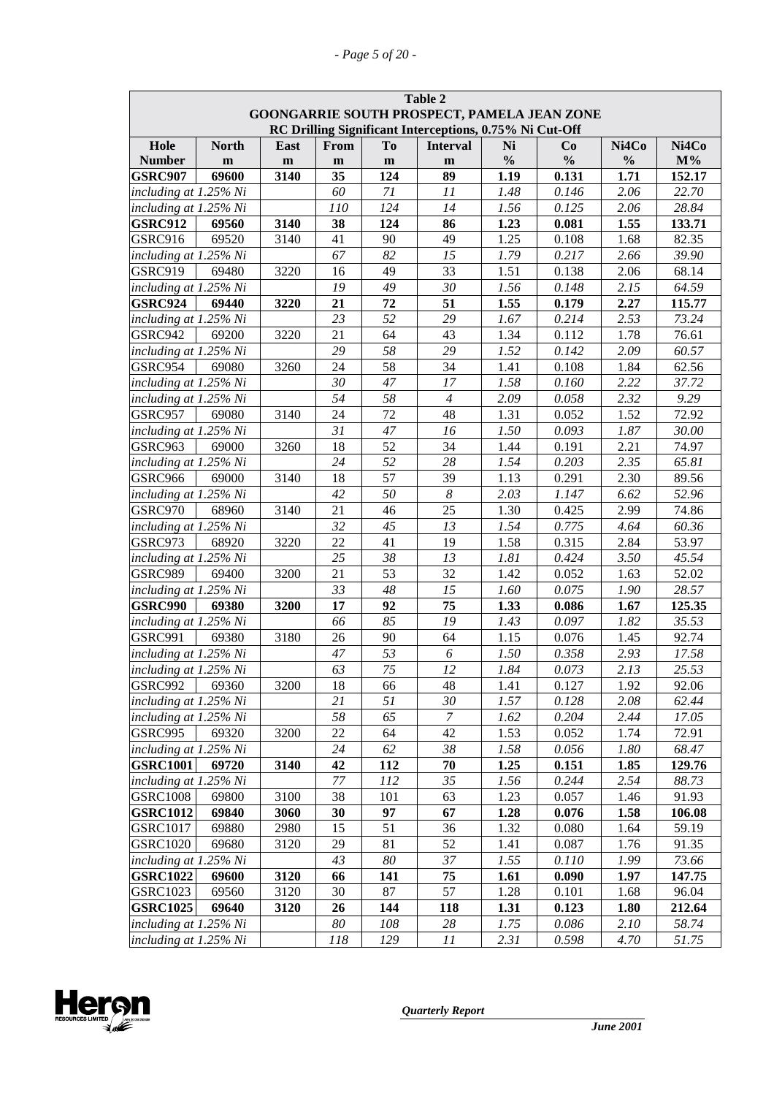| Table 2<br>GOONGARRIE SOUTH PROSPECT, PAMELA JEAN ZONE<br>RC Drilling Significant Interceptions, 0.75% Ni Cut-Off |              |      |             |                |                         |               |                |               |        |
|-------------------------------------------------------------------------------------------------------------------|--------------|------|-------------|----------------|-------------------------|---------------|----------------|---------------|--------|
| Hole                                                                                                              | <b>North</b> | East | <b>From</b> | T <sub>0</sub> | <b>Interval</b>         | Ni            | Co             | Ni4Co         | Ni4Co  |
| <b>Number</b>                                                                                                     | $\mathbf{m}$ | m    | m           | ${\bf m}$      | $\mathbf{m}$            | $\frac{0}{0}$ | $\frac{0}{0}$  | $\frac{0}{0}$ | $M\%$  |
| <b>GSRC907</b>                                                                                                    | 69600        | 3140 | 35          | 124            | 89                      | 1.19          | 0.131          | 1.71          | 152.17 |
| including at 1.25% Ni                                                                                             |              |      | 60          | $71$           | 11                      | 1.48          | 0.146          | 2.06          | 22.70  |
| including at 1.25% Ni                                                                                             |              |      | 110         | 124            | 14                      | 1.56          | 0.125          | 2.06          | 28.84  |
| <b>GSRC912</b>                                                                                                    | 69560        | 3140 | 38          | 124            | 86                      | 1.23          | 0.081          | 1.55          | 133.71 |
| GSRC916                                                                                                           | 69520        | 3140 | 41          | 90             | 49                      | 1.25          | 0.108          | 1.68          | 82.35  |
| including at 1.25% Ni                                                                                             |              |      | 67          | 82             | 15                      | 1.79          | 0.217          | 2.66          | 39.90  |
| <b>GSRC919</b>                                                                                                    | 69480        | 3220 | 16          | 49             | 33                      | 1.51          | 0.138          | 2.06          | 68.14  |
| including at 1.25% Ni                                                                                             |              |      | 19          | 49             | 30                      | 1.56          | 0.148          | 2.15          | 64.59  |
| <b>GSRC924</b>                                                                                                    | 69440        | 3220 | 21          | 72             | 51                      | 1.55          | 0.179          | 2.27          | 115.77 |
| including at 1.25% Ni                                                                                             |              |      | 23          | 52             | 29                      | 1.67          | 0.214          | 2.53          | 73.24  |
| GSRC942                                                                                                           | 69200        | 3220 | 21          | 64             | 43                      | 1.34          | 0.112          | 1.78          | 76.61  |
| including at 1.25% Ni                                                                                             |              |      | 29          | 58             | 29                      | 1.52          | 0.142          | 2.09          | 60.57  |
| GSRC954                                                                                                           | 69080        | 3260 | 24          | 58             | 34                      | 1.41          | 0.108          | 1.84          | 62.56  |
| including at 1.25% Ni                                                                                             |              |      | 30          | 47             | 17                      | 1.58          | 0.160          | 2.22          | 37.72  |
| including at 1.25% Ni                                                                                             |              |      | 54          | 58             | $\overline{4}$          | 2.09          | 0.058          | 2.32          | 9.29   |
| GSRC957                                                                                                           | 69080        | 3140 | 24          | 72             | 48                      | 1.31          | 0.052          | 1.52          | 72.92  |
| including at 1.25% Ni                                                                                             |              |      | 31          | 47             | 16                      | 1.50          | 0.093          | 1.87          | 30.00  |
| GSRC963                                                                                                           | 69000        | 3260 | 18          | 52             | 34                      | 1.44          | 0.191          | 2.21          | 74.97  |
| including at 1.25% Ni                                                                                             |              |      | 24          | 52             | 28                      | 1.54          | 0.203          | 2.35          | 65.81  |
| GSRC966                                                                                                           | 69000        | 3140 | 18          | 57             | 39                      | 1.13          | 0.291          | 2.30          | 89.56  |
| including at 1.25% Ni                                                                                             |              |      | 42          | 50             | $\boldsymbol{8}$        | 2.03          | 1.147          | 6.62          | 52.96  |
| GSRC970                                                                                                           | 68960        | 3140 | 21          | 46             | 25                      | 1.30          | 0.425          | 2.99          | 74.86  |
| including at 1.25% Ni                                                                                             |              |      | 32          | 45             | 13                      | 1.54          | 0.775          | 4.64          | 60.36  |
| GSRC973                                                                                                           | 68920        | 3220 | 22          | 41             | 19                      | 1.58          | 0.315          | 2.84          | 53.97  |
| including at 1.25% Ni                                                                                             |              |      | 25          | 38             | 13                      | 1.81          | 0.424          | 3.50          | 45.54  |
| <b>GSRC989</b>                                                                                                    | 69400        | 3200 | 21          | 53             | 32                      | 1.42          | 0.052          | 1.63          | 52.02  |
| including at 1.25% Ni                                                                                             |              |      | 33          | 48             | 15                      | 1.60          | 0.075          | 1.90          | 28.57  |
| <b>GSRC990</b>                                                                                                    | 69380        | 3200 | 17          | 92             | 75                      | 1.33          | 0.086          | 1.67          | 125.35 |
| including at 1.25% Ni                                                                                             |              |      | 66          | 85             | 19                      | 1.43          | 0.097          | 1.82          | 35.53  |
| <b>GSRC991</b>                                                                                                    | 69380        | 3180 | 26          | 90             | 64                      | 1.15          | 0.076          | 1.45          | 92.74  |
| including at 1.25% Ni                                                                                             |              |      | $47\,$      | 53             | 6                       | 1.50          | 0.358          | 2.93          | 17.58  |
| including at $1.25\%$ Ni                                                                                          |              |      | 63          | 75             | 12                      | 1.84          | 0.073          | 2.13          | 25.53  |
| <b>GSRC992</b>                                                                                                    | 69360        | 3200 | 18          | 66             | 48                      | 1.41          | 0.127          | 1.92          | 92.06  |
| including at 1.25% Ni                                                                                             |              |      | 21          | 51             | 30                      | 1.57          | 0.128          | 2.08          | 62.44  |
| including at 1.25% Ni                                                                                             |              |      | $58\,$      | 65             | $\boldsymbol{7}$        | 1.62          | 0.204          | 2.44          | 17.05  |
| GSRC995                                                                                                           | 69320        | 3200 | 22          | 64             | 42                      | 1.53          | 0.052          | 1.74          | 72.91  |
| including at 1.25% Ni                                                                                             |              |      | 24          | 62             | 38                      | 1.58          | 0.056          | 1.80          | 68.47  |
| <b>GSRC1001</b>                                                                                                   | 69720        | 3140 | 42          | 112            | 70                      | 1.25          | 0.151          | 1.85          | 129.76 |
| including at 1.25% Ni                                                                                             |              |      | 77          | 112            | 35                      | 1.56          | 0.244          | 2.54          | 88.73  |
| <b>GSRC1008</b>                                                                                                   | 69800        | 3100 | 38          | 101            | 63                      | 1.23          | 0.057          | 1.46          | 91.93  |
| <b>GSRC1012</b>                                                                                                   | 69840        | 3060 | 30          | 97             | 67                      | 1.28          | 0.076          | 1.58          | 106.08 |
| <b>GSRC1017</b>                                                                                                   | 69880        | 2980 | 15          | 51             | 36                      | 1.32          | 0.080          | 1.64          | 59.19  |
| <b>GSRC1020</b>                                                                                                   | 69680        | 3120 | 29          | 81             | 52                      | 1.41          | 0.087          | 1.76          | 91.35  |
| including at 1.25% Ni                                                                                             |              |      | 43          | 80             | 37                      | 1.55          | 0.110          | 1.99          | 73.66  |
| <b>GSRC1022</b>                                                                                                   | 69600        | 3120 | 66          | 141            | 75                      | 1.61          | 0.090          | 1.97          | 147.75 |
| <b>GSRC1023</b>                                                                                                   | 69560        | 3120 | 30          | 87             | 57                      | 1.28          | 0.101          | 1.68          | 96.04  |
| <b>GSRC1025</b>                                                                                                   | 69640        | 3120 | 26          | 144            | 118                     | 1.31          | 0.123          | 1.80          | 212.64 |
| including at 1.25% Ni<br>including at 1.25% Ni                                                                    |              |      | 80<br>118   | 108<br>129     | 28<br>$\cal{I} \cal{I}$ | 1.75<br>2.31  | 0.086<br>0.598 | 2.10<br>4.70  | 58.74  |
|                                                                                                                   |              |      |             |                |                         |               |                |               | 51.75  |

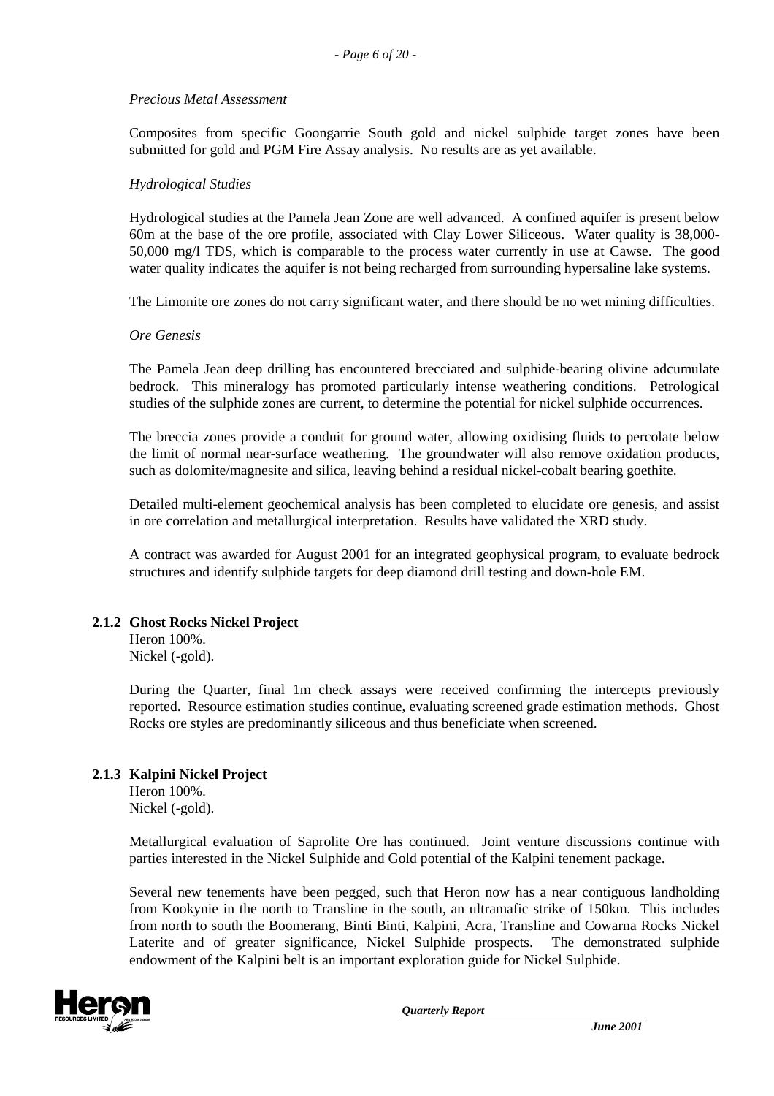#### *Precious Metal Assessment*

Composites from specific Goongarrie South gold and nickel sulphide target zones have been submitted for gold and PGM Fire Assay analysis. No results are as yet available.

#### *Hydrological Studies*

Hydrological studies at the Pamela Jean Zone are well advanced. A confined aquifer is present below 60m at the base of the ore profile, associated with Clay Lower Siliceous. Water quality is 38,000- 50,000 mg/l TDS, which is comparable to the process water currently in use at Cawse. The good water quality indicates the aquifer is not being recharged from surrounding hypersaline lake systems.

The Limonite ore zones do not carry significant water, and there should be no wet mining difficulties.

#### *Ore Genesis*

The Pamela Jean deep drilling has encountered brecciated and sulphide-bearing olivine adcumulate bedrock. This mineralogy has promoted particularly intense weathering conditions. Petrological studies of the sulphide zones are current, to determine the potential for nickel sulphide occurrences.

The breccia zones provide a conduit for ground water, allowing oxidising fluids to percolate below the limit of normal near-surface weathering. The groundwater will also remove oxidation products, such as dolomite/magnesite and silica, leaving behind a residual nickel-cobalt bearing goethite.

Detailed multi-element geochemical analysis has been completed to elucidate ore genesis, and assist in ore correlation and metallurgical interpretation. Results have validated the XRD study.

A contract was awarded for August 2001 for an integrated geophysical program, to evaluate bedrock structures and identify sulphide targets for deep diamond drill testing and down-hole EM.

#### **2.1.2 Ghost Rocks Nickel Project**

Heron 100%. Nickel (-gold).

During the Quarter, final 1m check assays were received confirming the intercepts previously reported. Resource estimation studies continue, evaluating screened grade estimation methods. Ghost Rocks ore styles are predominantly siliceous and thus beneficiate when screened.

#### **2.1.3 Kalpini Nickel Project**

Heron 100%. Nickel (-gold).

Metallurgical evaluation of Saprolite Ore has continued. Joint venture discussions continue with parties interested in the Nickel Sulphide and Gold potential of the Kalpini tenement package.

Several new tenements have been pegged, such that Heron now has a near contiguous landholding from Kookynie in the north to Transline in the south, an ultramafic strike of 150km. This includes from north to south the Boomerang, Binti Binti, Kalpini, Acra, Transline and Cowarna Rocks Nickel Laterite and of greater significance, Nickel Sulphide prospects. The demonstrated sulphide endowment of the Kalpini belt is an important exploration guide for Nickel Sulphide.

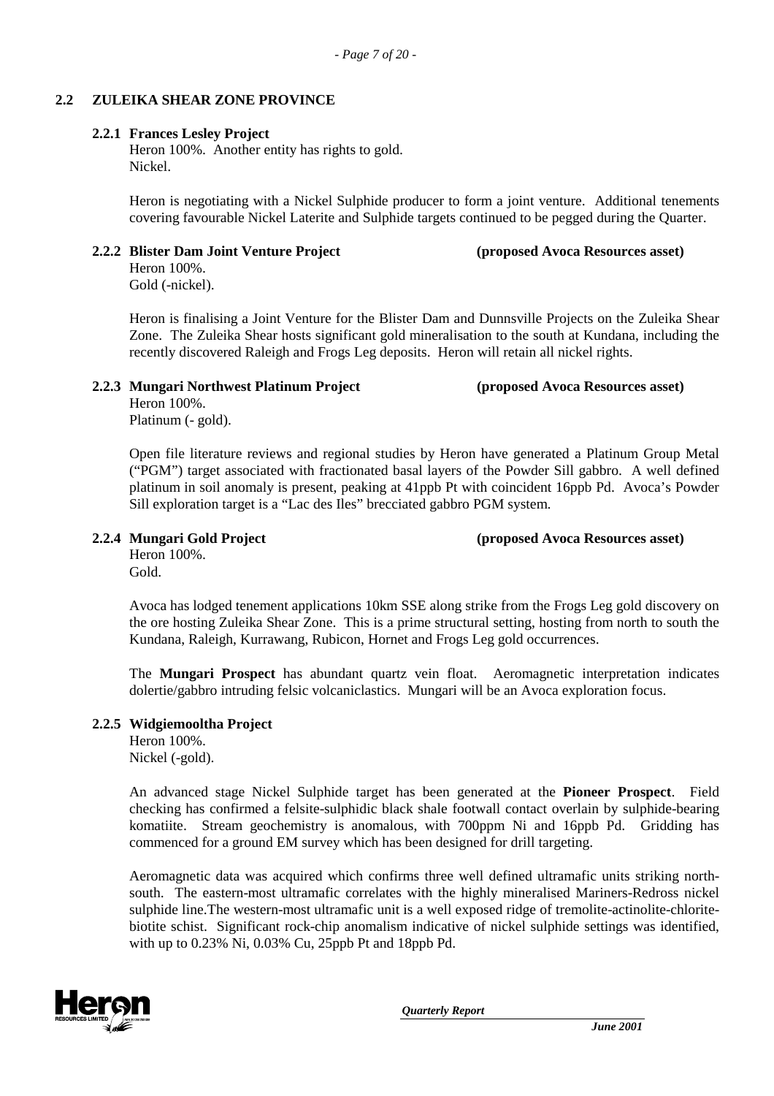#### **2.2 ZULEIKA SHEAR ZONE PROVINCE**

#### **2.2.1 Frances Lesley Project**

Heron 100%. Another entity has rights to gold. Nickel.

Heron is negotiating with a Nickel Sulphide producer to form a joint venture. Additional tenements covering favourable Nickel Laterite and Sulphide targets continued to be pegged during the Quarter.

#### **2.2.2 Blister Dam Joint Venture Project (proposed Avoca Resources asset)**

Heron 100%. Gold (-nickel).

Heron is finalising a Joint Venture for the Blister Dam and Dunnsville Projects on the Zuleika Shear Zone. The Zuleika Shear hosts significant gold mineralisation to the south at Kundana, including the recently discovered Raleigh and Frogs Leg deposits. Heron will retain all nickel rights.

#### **2.2.3 Mungari Northwest Platinum Project (proposed Avoca Resources asset)**

Heron 100%. Platinum (- gold).

Open file literature reviews and regional studies by Heron have generated a Platinum Group Metal ("PGM") target associated with fractionated basal layers of the Powder Sill gabbro. A well defined platinum in soil anomaly is present, peaking at 41ppb Pt with coincident 16ppb Pd. Avoca's Powder Sill exploration target is a "Lac des Iles" brecciated gabbro PGM system.

# Heron 100%.

**2.2.4 Mungari Gold Project (proposed Avoca Resources asset)**

Gold.

Avoca has lodged tenement applications 10km SSE along strike from the Frogs Leg gold discovery on the ore hosting Zuleika Shear Zone. This is a prime structural setting, hosting from north to south the Kundana, Raleigh, Kurrawang, Rubicon, Hornet and Frogs Leg gold occurrences.

The **Mungari Prospect** has abundant quartz vein float. Aeromagnetic interpretation indicates dolertie/gabbro intruding felsic volcaniclastics. Mungari will be an Avoca exploration focus.

#### **2.2.5 Widgiemooltha Project**

Heron 100%. Nickel (-gold).

An advanced stage Nickel Sulphide target has been generated at the **Pioneer Prospect**. Field checking has confirmed a felsite-sulphidic black shale footwall contact overlain by sulphide-bearing komatiite. Stream geochemistry is anomalous, with 700ppm Ni and 16ppb Pd. Gridding has commenced for a ground EM survey which has been designed for drill targeting.

Aeromagnetic data was acquired which confirms three well defined ultramafic units striking northsouth. The eastern-most ultramafic correlates with the highly mineralised Mariners-Redross nickel sulphide line.The western-most ultramafic unit is a well exposed ridge of tremolite-actinolite-chloritebiotite schist. Significant rock-chip anomalism indicative of nickel sulphide settings was identified, with up to 0.23% Ni, 0.03% Cu, 25ppb Pt and 18ppb Pd.

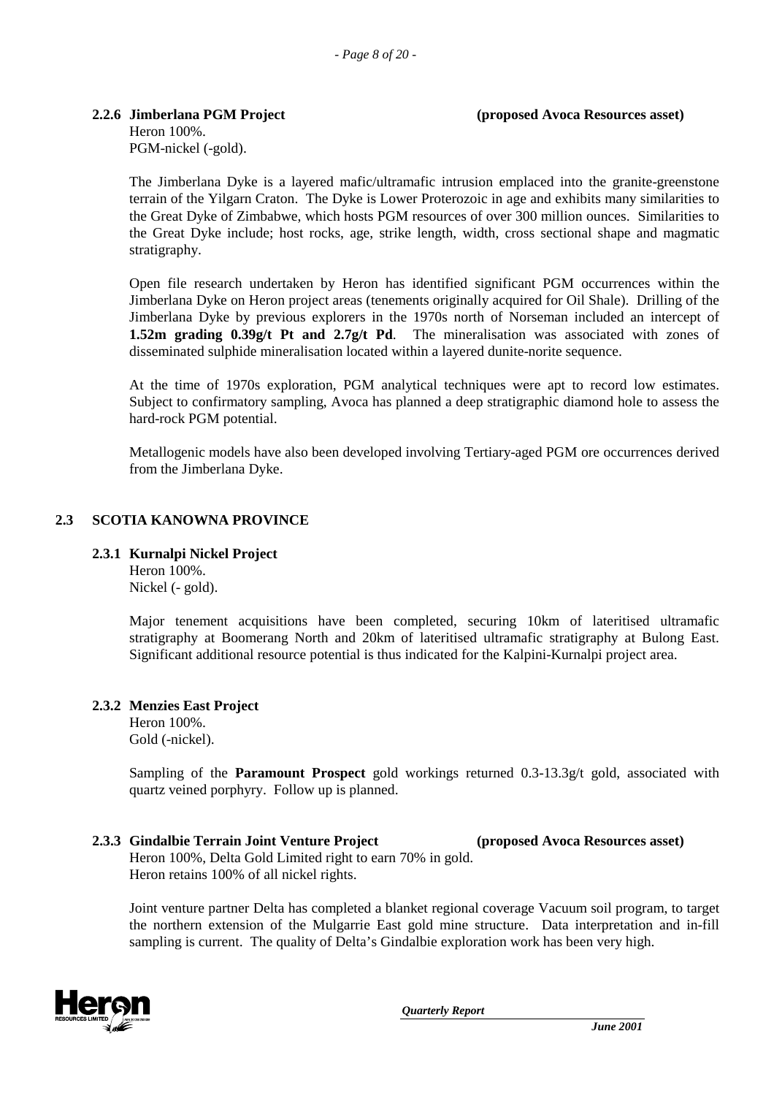#### **2.2.6 Jimberlana PGM Project (proposed Avoca Resources asset)**

Heron 100%. PGM-nickel (-gold).

The Jimberlana Dyke is a layered mafic/ultramafic intrusion emplaced into the granite-greenstone terrain of the Yilgarn Craton. The Dyke is Lower Proterozoic in age and exhibits many similarities to the Great Dyke of Zimbabwe, which hosts PGM resources of over 300 million ounces. Similarities to the Great Dyke include; host rocks, age, strike length, width, cross sectional shape and magmatic stratigraphy.

Open file research undertaken by Heron has identified significant PGM occurrences within the Jimberlana Dyke on Heron project areas (tenements originally acquired for Oil Shale). Drilling of the Jimberlana Dyke by previous explorers in the 1970s north of Norseman included an intercept of **1.52m grading 0.39g/t Pt and 2.7g/t Pd**. The mineralisation was associated with zones of disseminated sulphide mineralisation located within a layered dunite-norite sequence.

At the time of 1970s exploration, PGM analytical techniques were apt to record low estimates. Subject to confirmatory sampling, Avoca has planned a deep stratigraphic diamond hole to assess the hard-rock PGM potential.

Metallogenic models have also been developed involving Tertiary-aged PGM ore occurrences derived from the Jimberlana Dyke.

#### **2.3 SCOTIA KANOWNA PROVINCE**

#### **2.3.1 Kurnalpi Nickel Project**

Heron 100%. Nickel (- gold).

Major tenement acquisitions have been completed, securing 10km of lateritised ultramafic stratigraphy at Boomerang North and 20km of lateritised ultramafic stratigraphy at Bulong East. Significant additional resource potential is thus indicated for the Kalpini-Kurnalpi project area.

#### **2.3.2 Menzies East Project**

Heron 100%. Gold (-nickel).

Sampling of the **Paramount Prospect** gold workings returned 0.3-13.3g/t gold, associated with quartz veined porphyry. Follow up is planned.

#### **2.3.3 Gindalbie Terrain Joint Venture Project (proposed Avoca Resources asset)** Heron 100%, Delta Gold Limited right to earn 70% in gold.

Heron retains 100% of all nickel rights.

Joint venture partner Delta has completed a blanket regional coverage Vacuum soil program, to target the northern extension of the Mulgarrie East gold mine structure. Data interpretation and in-fill sampling is current. The quality of Delta's Gindalbie exploration work has been very high.

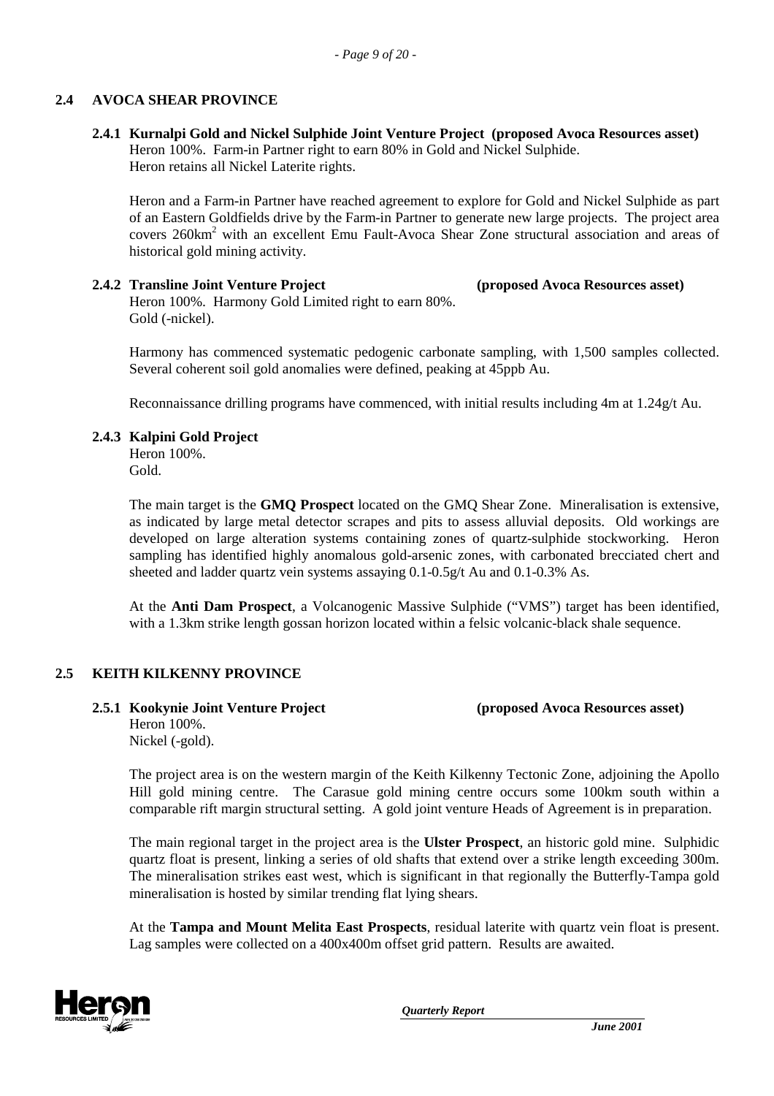#### **2.4 AVOCA SHEAR PROVINCE**

#### **2.4.1 Kurnalpi Gold and Nickel Sulphide Joint Venture Project (proposed Avoca Resources asset)** Heron 100%. Farm-in Partner right to earn 80% in Gold and Nickel Sulphide. Heron retains all Nickel Laterite rights.

Heron and a Farm-in Partner have reached agreement to explore for Gold and Nickel Sulphide as part of an Eastern Goldfields drive by the Farm-in Partner to generate new large projects. The project area covers 260km<sup>2</sup> with an excellent Emu Fault-Avoca Shear Zone structural association and areas of historical gold mining activity.

**2.4.2 Transline Joint Venture Project (proposed Avoca Resources asset)** Heron 100%. Harmony Gold Limited right to earn 80%. Gold (-nickel).

Harmony has commenced systematic pedogenic carbonate sampling, with 1,500 samples collected. Several coherent soil gold anomalies were defined, peaking at 45ppb Au.

Reconnaissance drilling programs have commenced, with initial results including 4m at 1.24g/t Au.

#### **2.4.3 Kalpini Gold Project**

Heron 100%. Gold.

The main target is the **GMQ Prospect** located on the GMQ Shear Zone. Mineralisation is extensive, as indicated by large metal detector scrapes and pits to assess alluvial deposits. Old workings are developed on large alteration systems containing zones of quartz-sulphide stockworking. Heron sampling has identified highly anomalous gold-arsenic zones, with carbonated brecciated chert and sheeted and ladder quartz vein systems assaying 0.1-0.5g/t Au and 0.1-0.3% As.

At the **Anti Dam Prospect**, a Volcanogenic Massive Sulphide ("VMS") target has been identified, with a 1.3km strike length gossan horizon located within a felsic volcanic-black shale sequence.

#### **2.5 KEITH KILKENNY PROVINCE**

**2.5.1 Kookynie Joint Venture Project (proposed Avoca Resources asset)** Heron 100%. Nickel (-gold).

The project area is on the western margin of the Keith Kilkenny Tectonic Zone, adjoining the Apollo Hill gold mining centre. The Carasue gold mining centre occurs some 100km south within a comparable rift margin structural setting. A gold joint venture Heads of Agreement is in preparation.

The main regional target in the project area is the **Ulster Prospect**, an historic gold mine. Sulphidic quartz float is present, linking a series of old shafts that extend over a strike length exceeding 300m. The mineralisation strikes east west, which is significant in that regionally the Butterfly-Tampa gold mineralisation is hosted by similar trending flat lying shears.

At the **Tampa and Mount Melita East Prospects**, residual laterite with quartz vein float is present. Lag samples were collected on a 400x400m offset grid pattern. Results are awaited.

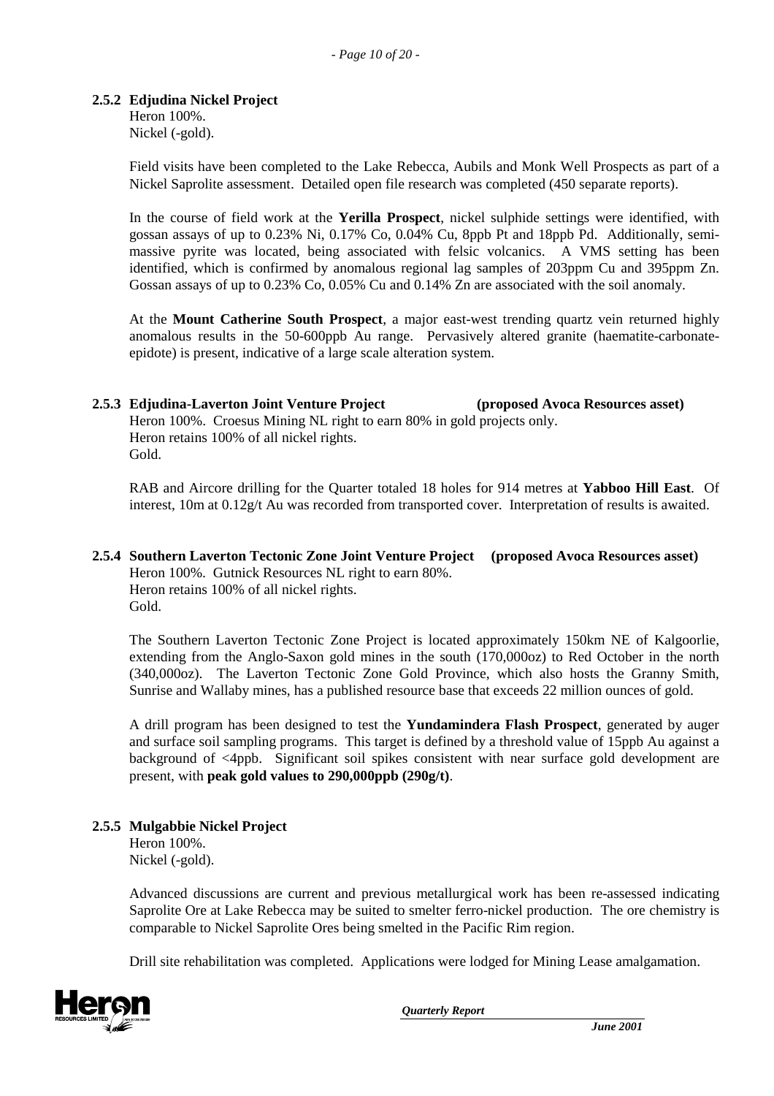#### **2.5.2 Edjudina Nickel Project**

Heron 100%. Nickel (-gold).

Field visits have been completed to the Lake Rebecca, Aubils and Monk Well Prospects as part of a Nickel Saprolite assessment. Detailed open file research was completed (450 separate reports).

In the course of field work at the **Yerilla Prospect**, nickel sulphide settings were identified, with gossan assays of up to 0.23% Ni, 0.17% Co, 0.04% Cu, 8ppb Pt and 18ppb Pd. Additionally, semimassive pyrite was located, being associated with felsic volcanics. A VMS setting has been identified, which is confirmed by anomalous regional lag samples of 203ppm Cu and 395ppm Zn. Gossan assays of up to 0.23% Co, 0.05% Cu and 0.14% Zn are associated with the soil anomaly.

At the **Mount Catherine South Prospect**, a major east-west trending quartz vein returned highly anomalous results in the 50-600ppb Au range. Pervasively altered granite (haematite-carbonateepidote) is present, indicative of a large scale alteration system.

#### **2.5.3 Edjudina-Laverton Joint Venture Project (proposed Avoca Resources asset)** Heron 100%. Croesus Mining NL right to earn 80% in gold projects only. Heron retains 100% of all nickel rights. Gold.

RAB and Aircore drilling for the Quarter totaled 18 holes for 914 metres at **Yabboo Hill East**. Of interest, 10m at 0.12g/t Au was recorded from transported cover. Interpretation of results is awaited.

#### **2.5.4 Southern Laverton Tectonic Zone Joint Venture Project (proposed Avoca Resources asset)** Heron 100%. Gutnick Resources NL right to earn 80%. Heron retains 100% of all nickel rights. Gold.

The Southern Laverton Tectonic Zone Project is located approximately 150km NE of Kalgoorlie, extending from the Anglo-Saxon gold mines in the south (170,000oz) to Red October in the north (340,000oz). The Laverton Tectonic Zone Gold Province, which also hosts the Granny Smith, Sunrise and Wallaby mines, has a published resource base that exceeds 22 million ounces of gold.

A drill program has been designed to test the **Yundamindera Flash Prospect**, generated by auger and surface soil sampling programs. This target is defined by a threshold value of 15ppb Au against a background of <4ppb. Significant soil spikes consistent with near surface gold development are present, with **peak gold values to 290,000ppb (290g/t)**.

#### **2.5.5 Mulgabbie Nickel Project**

Heron 100%. Nickel (-gold).

Advanced discussions are current and previous metallurgical work has been re-assessed indicating Saprolite Ore at Lake Rebecca may be suited to smelter ferro-nickel production. The ore chemistry is comparable to Nickel Saprolite Ores being smelted in the Pacific Rim region.

Drill site rehabilitation was completed. Applications were lodged for Mining Lease amalgamation.

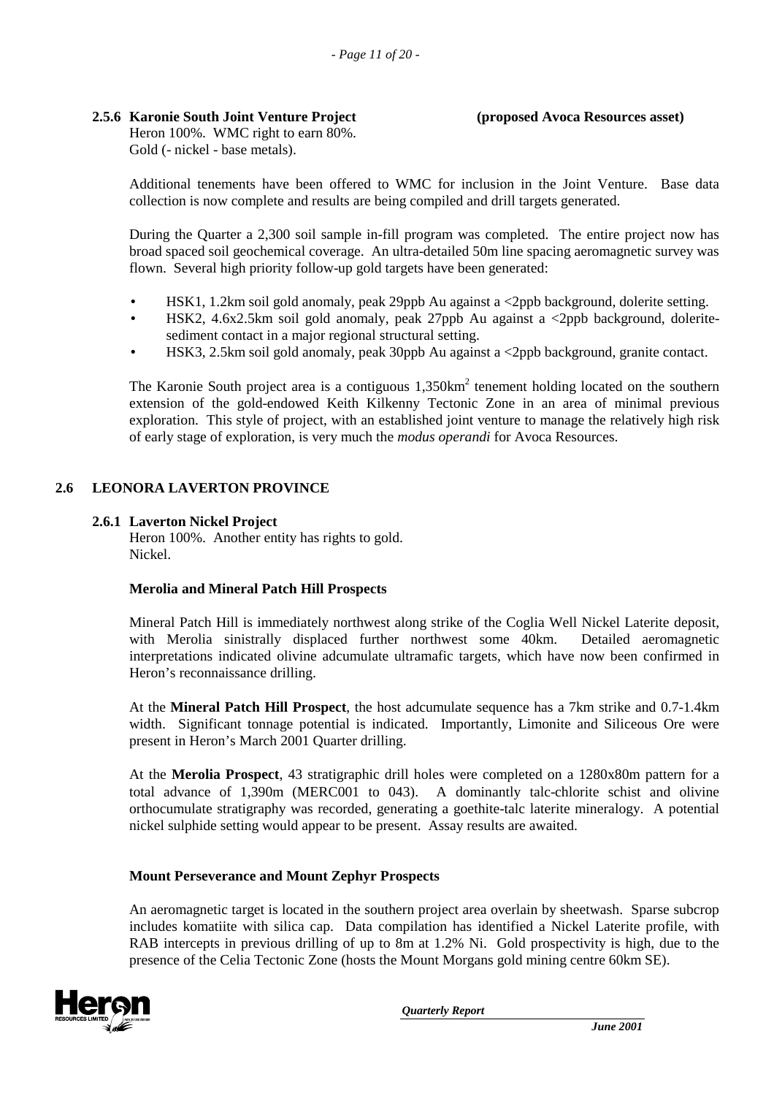### **2.5.6 Karonie South Joint Venture Project (proposed Avoca Resources asset)**

Heron 100%. WMC right to earn 80%. Gold (- nickel - base metals).

Additional tenements have been offered to WMC for inclusion in the Joint Venture. Base data collection is now complete and results are being compiled and drill targets generated.

During the Quarter a 2,300 soil sample in-fill program was completed. The entire project now has broad spaced soil geochemical coverage. An ultra-detailed 50m line spacing aeromagnetic survey was flown. Several high priority follow-up gold targets have been generated:

- HSK1, 1.2km soil gold anomaly, peak 29ppb Au against a <2ppb background, dolerite setting.
- HSK2, 4.6x2.5km soil gold anomaly, peak 27ppb Au against a <2ppb background, doleritesediment contact in a major regional structural setting.
- HSK3, 2.5km soil gold anomaly, peak 30ppb Au against a <2ppb background, granite contact.

The Karonie South project area is a contiguous  $1,350 \text{km}^2$  tenement holding located on the southern extension of the gold-endowed Keith Kilkenny Tectonic Zone in an area of minimal previous exploration. This style of project, with an established joint venture to manage the relatively high risk of early stage of exploration, is very much the *modus operandi* for Avoca Resources.

#### **2.6 LEONORA LAVERTON PROVINCE**

#### **2.6.1 Laverton Nickel Project**

Heron 100%. Another entity has rights to gold. Nickel.

#### **Merolia and Mineral Patch Hill Prospects**

Mineral Patch Hill is immediately northwest along strike of the Coglia Well Nickel Laterite deposit, with Merolia sinistrally displaced further northwest some 40km. Detailed aeromagnetic interpretations indicated olivine adcumulate ultramafic targets, which have now been confirmed in Heron's reconnaissance drilling.

At the **Mineral Patch Hill Prospect**, the host adcumulate sequence has a 7km strike and 0.7-1.4km width. Significant tonnage potential is indicated. Importantly, Limonite and Siliceous Ore were present in Heron's March 2001 Quarter drilling.

At the **Merolia Prospect**, 43 stratigraphic drill holes were completed on a 1280x80m pattern for a total advance of 1,390m (MERC001 to 043). A dominantly talc-chlorite schist and olivine orthocumulate stratigraphy was recorded, generating a goethite-talc laterite mineralogy. A potential nickel sulphide setting would appear to be present. Assay results are awaited.

#### **Mount Perseverance and Mount Zephyr Prospects**

An aeromagnetic target is located in the southern project area overlain by sheetwash. Sparse subcrop includes komatiite with silica cap. Data compilation has identified a Nickel Laterite profile, with RAB intercepts in previous drilling of up to 8m at 1.2% Ni. Gold prospectivity is high, due to the presence of the Celia Tectonic Zone (hosts the Mount Morgans gold mining centre 60km SE).

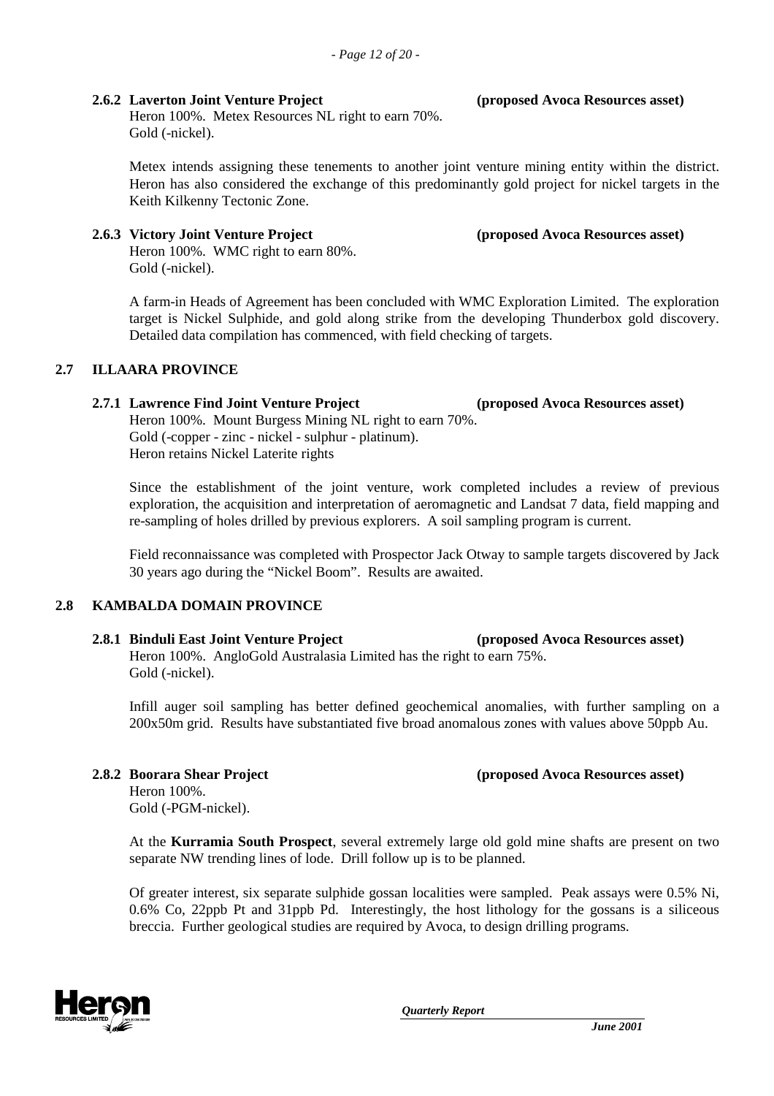#### **2.6.2 Laverton Joint Venture Project (proposed Avoca Resources asset)**

Heron 100%. Metex Resources NL right to earn 70%. Gold (-nickel).

Metex intends assigning these tenements to another joint venture mining entity within the district. Heron has also considered the exchange of this predominantly gold project for nickel targets in the Keith Kilkenny Tectonic Zone.

#### **2.6.3 Victory Joint Venture Project (proposed Avoca Resources asset)**

Heron 100%. WMC right to earn 80%. Gold (-nickel).

A farm-in Heads of Agreement has been concluded with WMC Exploration Limited. The exploration target is Nickel Sulphide, and gold along strike from the developing Thunderbox gold discovery. Detailed data compilation has commenced, with field checking of targets.

#### **2.7 ILLAARA PROVINCE**

#### **2.7.1 Lawrence Find Joint Venture Project (proposed Avoca Resources asset)** Heron 100%. Mount Burgess Mining NL right to earn 70%. Gold (-copper - zinc - nickel - sulphur - platinum).

Heron retains Nickel Laterite rights

Since the establishment of the joint venture, work completed includes a review of previous exploration, the acquisition and interpretation of aeromagnetic and Landsat 7 data, field mapping and re-sampling of holes drilled by previous explorers. A soil sampling program is current.

Field reconnaissance was completed with Prospector Jack Otway to sample targets discovered by Jack 30 years ago during the "Nickel Boom". Results are awaited.

#### **2.8 KAMBALDA DOMAIN PROVINCE**

## **2.8.1 Binduli East Joint Venture Project (proposed Avoca Resources asset)**

Heron 100%. AngloGold Australasia Limited has the right to earn 75%. Gold (-nickel).

Infill auger soil sampling has better defined geochemical anomalies, with further sampling on a 200x50m grid. Results have substantiated five broad anomalous zones with values above 50ppb Au.

Gold (-PGM-nickel).

Heron 100%.

At the **Kurramia South Prospect**, several extremely large old gold mine shafts are present on two separate NW trending lines of lode. Drill follow up is to be planned.

Of greater interest, six separate sulphide gossan localities were sampled. Peak assays were 0.5% Ni, 0.6% Co, 22ppb Pt and 31ppb Pd. Interestingly, the host lithology for the gossans is a siliceous breccia. Further geological studies are required by Avoca, to design drilling programs.



*Quarterly Report*

**2.8.2 Boorara Shear Project (proposed Avoca Resources asset)**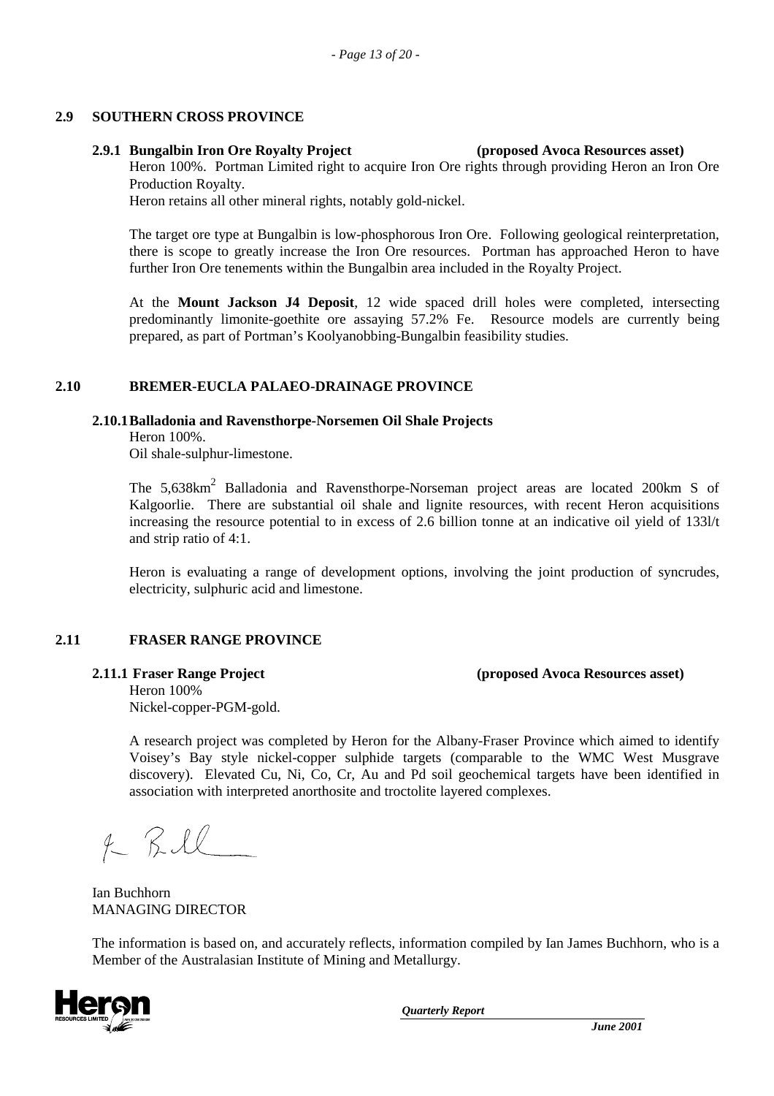#### **2.9 SOUTHERN CROSS PROVINCE**

#### **2.9.1 Bungalbin Iron Ore Royalty Project (proposed Avoca Resources asset)**

Heron 100%. Portman Limited right to acquire Iron Ore rights through providing Heron an Iron Ore Production Royalty.

Heron retains all other mineral rights, notably gold-nickel.

The target ore type at Bungalbin is low-phosphorous Iron Ore. Following geological reinterpretation, there is scope to greatly increase the Iron Ore resources. Portman has approached Heron to have further Iron Ore tenements within the Bungalbin area included in the Royalty Project.

At the **Mount Jackson J4 Deposit**, 12 wide spaced drill holes were completed, intersecting predominantly limonite-goethite ore assaying 57.2% Fe. Resource models are currently being prepared, as part of Portman's Koolyanobbing-Bungalbin feasibility studies.

#### **2.10 BREMER-EUCLA PALAEO-DRAINAGE PROVINCE**

#### **2.10.1Balladonia and Ravensthorpe-Norsemen Oil Shale Projects**

Heron 100%.

Oil shale-sulphur-limestone.

The 5,638km<sup>2</sup> Balladonia and Ravensthorpe-Norseman project areas are located 200km S of Kalgoorlie. There are substantial oil shale and lignite resources, with recent Heron acquisitions increasing the resource potential to in excess of 2.6 billion tonne at an indicative oil yield of 133l/t and strip ratio of 4:1.

Heron is evaluating a range of development options, involving the joint production of syncrudes, electricity, sulphuric acid and limestone.

#### **2.11 FRASER RANGE PROVINCE**

#### **2.11.1 Fraser Range Project (proposed Avoca Resources asset)**

Heron 100% Nickel-copper-PGM-gold.

A research project was completed by Heron for the Albany-Fraser Province which aimed to identify Voisey's Bay style nickel-copper sulphide targets (comparable to the WMC West Musgrave discovery). Elevated Cu, Ni, Co, Cr, Au and Pd soil geochemical targets have been identified in association with interpreted anorthosite and troctolite layered complexes.

 $4 - 7.11$ 

Ian Buchhorn MANAGING DIRECTOR

The information is based on, and accurately reflects, information compiled by Ian James Buchhorn, who is a Member of the Australasian Institute of Mining and Metallurgy.

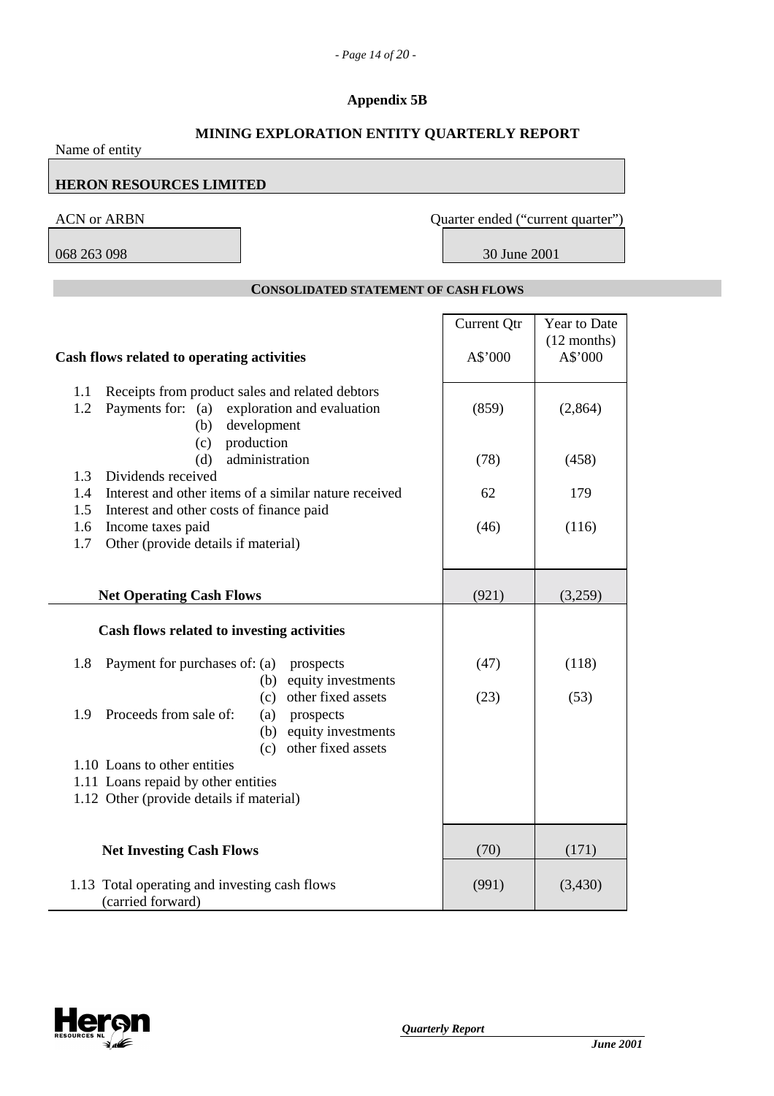### **Appendix 5B**

### **MINING EXPLORATION ENTITY QUARTERLY REPORT**

| Name of entity                                                                                                                               |                                   |                          |
|----------------------------------------------------------------------------------------------------------------------------------------------|-----------------------------------|--------------------------|
| <b>HERON RESOURCES LIMITED</b>                                                                                                               |                                   |                          |
| <b>ACN or ARBN</b>                                                                                                                           | Quarter ended ("current quarter") |                          |
| 068 263 098                                                                                                                                  | 30 June 2001                      |                          |
| <b>CONSOLIDATED STATEMENT OF CASH FLOWS</b>                                                                                                  |                                   |                          |
|                                                                                                                                              | <b>Current Qtr</b>                | Year to Date             |
| Cash flows related to operating activities                                                                                                   | A\$'000                           | $(12$ months)<br>A\$'000 |
| Receipts from product sales and related debtors<br>1.1<br>Payments for: (a)<br>exploration and evaluation<br>1.2<br>development<br>(b)       | (859)                             | (2,864)                  |
| production<br>(c)<br>administration<br>(d)                                                                                                   | (78)                              | (458)                    |
| Dividends received<br>1.3<br>Interest and other items of a similar nature received<br>1.4                                                    | 62                                | 179                      |
| Interest and other costs of finance paid<br>1.5<br>Income taxes paid<br>1.6<br>Other (provide details if material)<br>1.7                    | (46)                              | (116)                    |
| <b>Net Operating Cash Flows</b>                                                                                                              | (921)                             | (3,259)                  |
| Cash flows related to investing activities                                                                                                   |                                   |                          |
| 1.8<br>Payment for purchases of: (a)<br>prospects<br>equity investments<br>(b)                                                               | (47)                              | (118)                    |
| other fixed assets<br>(c)<br>Proceeds from sale of:<br>1.9<br>(a)<br>prospects<br>equity investments<br>(b)                                  | (23)                              | (53)                     |
| other fixed assets<br>(c)<br>1.10 Loans to other entities<br>1.11 Loans repaid by other entities<br>1.12 Other (provide details if material) |                                   |                          |
| <b>Net Investing Cash Flows</b>                                                                                                              | (70)                              | (171)                    |
| 1.13 Total operating and investing cash flows<br>(carried forward)                                                                           | (991)                             | (3,430)                  |

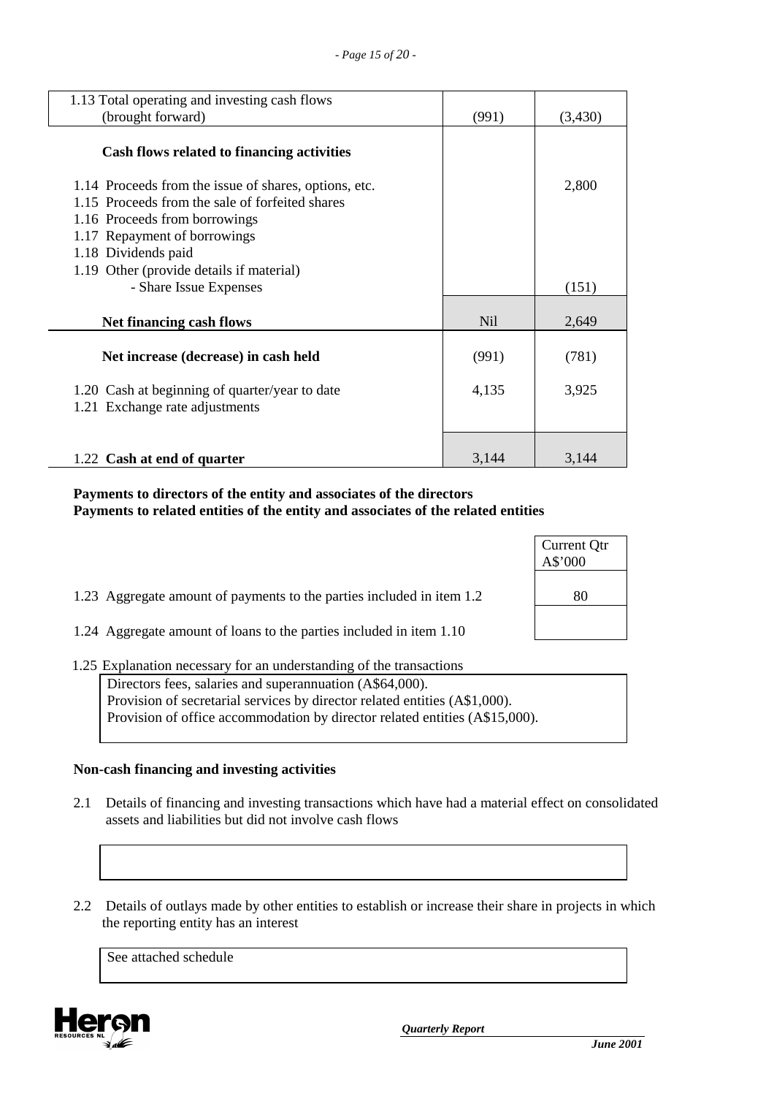| 1.13 Total operating and investing cash flows                                                                                                                                                                                                |                 |         |
|----------------------------------------------------------------------------------------------------------------------------------------------------------------------------------------------------------------------------------------------|-----------------|---------|
| (brought forward)                                                                                                                                                                                                                            | (991)           | (3,430) |
| Cash flows related to financing activities                                                                                                                                                                                                   |                 |         |
| 1.14 Proceeds from the issue of shares, options, etc.<br>1.15 Proceeds from the sale of forfeited shares<br>1.16 Proceeds from borrowings<br>1.17 Repayment of borrowings<br>1.18 Dividends paid<br>1.19 Other (provide details if material) |                 | 2,800   |
| - Share Issue Expenses                                                                                                                                                                                                                       |                 | (151)   |
| Net financing cash flows                                                                                                                                                                                                                     | N <sub>il</sub> | 2,649   |
| Net increase (decrease) in cash held                                                                                                                                                                                                         | (991)           | (781)   |
| 1.20 Cash at beginning of quarter/year to date<br>1.21 Exchange rate adjustments                                                                                                                                                             | 4,135           | 3,925   |
| 1.22 Cash at end of quarter                                                                                                                                                                                                                  | 3,144           | 3,144   |

#### **Payments to directors of the entity and associates of the directors Payments to related entities of the entity and associates of the related entities**

|                                                                       | Current Qtr<br>A\$'000 |
|-----------------------------------------------------------------------|------------------------|
| 1.23 Aggregate amount of payments to the parties included in item 1.2 | 80                     |
| 1.24 Aggregate amount of loans to the parties included in item 1.10   |                        |

#### 1.25 Explanation necessary for an understanding of the transactions

Directors fees, salaries and superannuation (A\$64,000). Provision of secretarial services by director related entities (A\$1,000). Provision of office accommodation by director related entities (A\$15,000).

#### **Non-cash financing and investing activities**

- 2.1 Details of financing and investing transactions which have had a material effect on consolidated assets and liabilities but did not involve cash flows
- 2.2 Details of outlays made by other entities to establish or increase their share in projects in which the reporting entity has an interest

See attached schedule

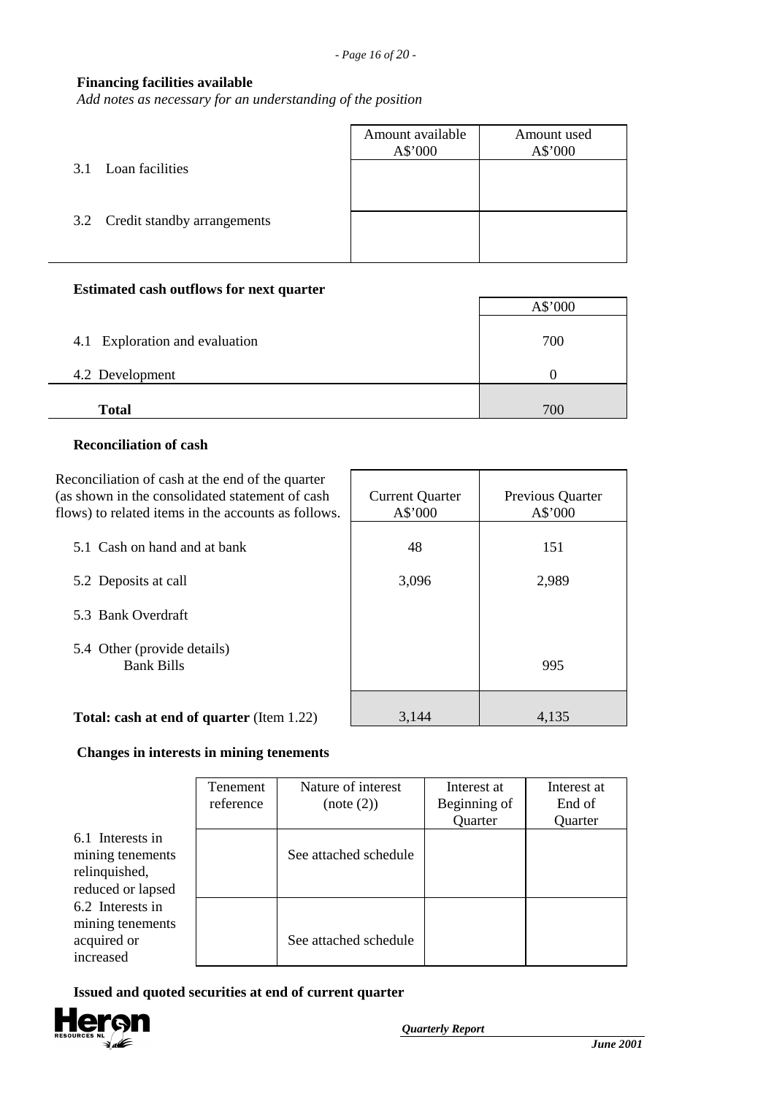#### **Financing facilities available**

*Add notes as necessary for an understanding of the position*

|                                 | Amount available<br>A\$'000 | Amount used<br>A\$'000 |
|---------------------------------|-----------------------------|------------------------|
| 3.1 Loan facilities             |                             |                        |
| 3.2 Credit standby arrangements |                             |                        |
|                                 |                             |                        |

#### **Estimated cash outflows for next quarter**

|                                | A\$'000 |
|--------------------------------|---------|
| 4.1 Exploration and evaluation | 700     |
| 4.2 Development                |         |
| <b>Total</b>                   | 700     |

#### **Reconciliation of cash**

| Reconciliation of cash at the end of the quarter<br>(as shown in the consolidated statement of cash<br>flows) to related items in the accounts as follows. | <b>Current Quarter</b><br>A\$'000 | Previous Quarter<br>A\$'000 |
|------------------------------------------------------------------------------------------------------------------------------------------------------------|-----------------------------------|-----------------------------|
| 5.1 Cash on hand and at bank                                                                                                                               | 48                                | 151                         |
| 5.2 Deposits at call                                                                                                                                       | 3,096                             | 2,989                       |
| 5.3 Bank Overdraft                                                                                                                                         |                                   |                             |
| 5.4 Other (provide details)<br><b>Bank Bills</b>                                                                                                           |                                   | 995                         |
| <b>Total: cash at end of quarter (Item 1.22)</b>                                                                                                           | 3,144                             | 4.135                       |

# **Changes in interests in mining tenements**

| Tenement  | Nature of interest |
|-----------|--------------------|
| reference | (note (2))         |

|                                                                            | Tenement<br>reference | Nature of interest<br>(note (2)) | Interest at<br>Beginning of<br>Quarter | Interest at<br>End of<br>Quarter |
|----------------------------------------------------------------------------|-----------------------|----------------------------------|----------------------------------------|----------------------------------|
| 6.1 Interests in<br>mining tenements<br>relinquished,<br>reduced or lapsed |                       | See attached schedule            |                                        |                                  |
| 6.2 Interests in<br>mining tenements<br>acquired or<br>increased           |                       | See attached schedule            |                                        |                                  |

 **Issued and quoted securities at end of current quarter**

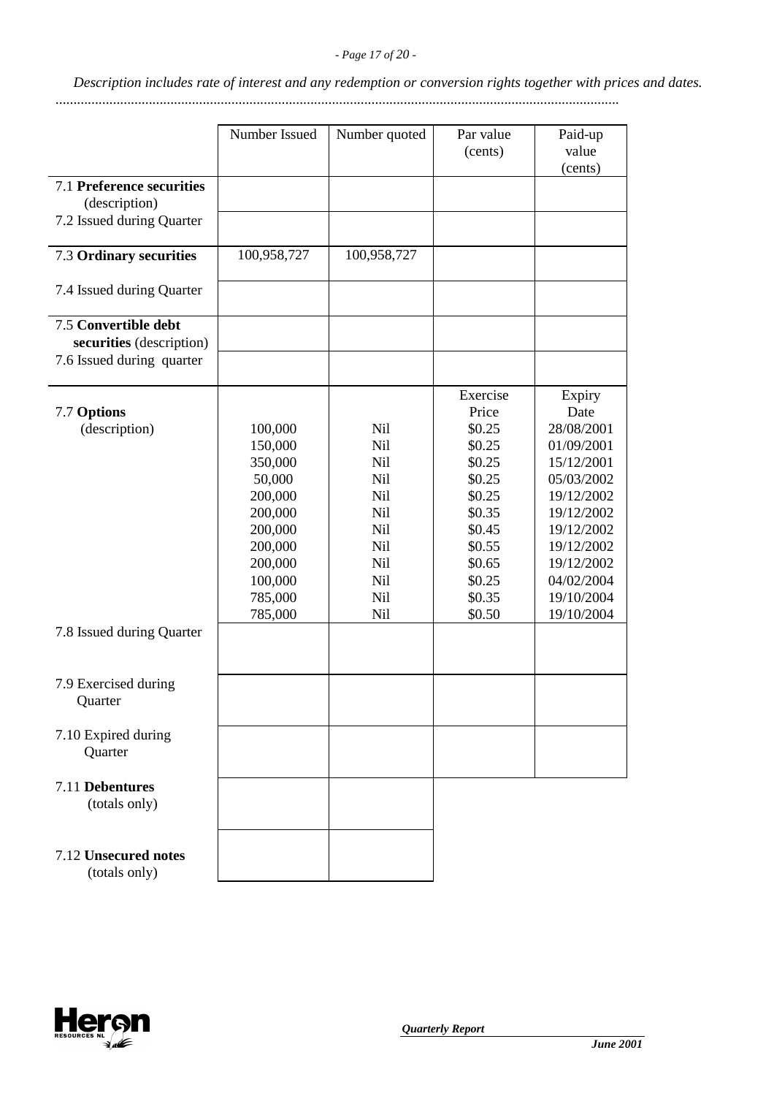*Description includes rate of interest and any redemption or conversion rights together with prices and dates.*

.............................................................................................................................................................

|                                                  | Number Issued      | Number quoted | Par value<br>(cents) | Paid-up<br>value<br>(cents) |
|--------------------------------------------------|--------------------|---------------|----------------------|-----------------------------|
| 7.1 Preference securities<br>(description)       |                    |               |                      |                             |
| 7.2 Issued during Quarter                        |                    |               |                      |                             |
| 7.3 Ordinary securities                          | 100,958,727        | 100,958,727   |                      |                             |
| 7.4 Issued during Quarter                        |                    |               |                      |                             |
| 7.5 Convertible debt<br>securities (description) |                    |               |                      |                             |
| 7.6 Issued during quarter                        |                    |               |                      |                             |
| 7.7 Options                                      |                    |               | Exercise<br>Price    | Expiry<br>Date              |
| (description)                                    | 100,000            | Nil           | \$0.25               | 28/08/2001                  |
|                                                  | 150,000            | Nil           | \$0.25               | 01/09/2001                  |
|                                                  | 350,000            | Nil           | \$0.25               | 15/12/2001                  |
|                                                  | 50,000             | Nil           | \$0.25               | 05/03/2002                  |
|                                                  | 200,000            | Nil           | \$0.25               | 19/12/2002                  |
|                                                  | 200,000            | Nil           | \$0.35               | 19/12/2002                  |
|                                                  | 200,000            | Nil           | \$0.45               | 19/12/2002                  |
|                                                  | 200,000            | Nil           | \$0.55               | 19/12/2002                  |
|                                                  | 200,000<br>100,000 | Nil<br>Nil    | \$0.65<br>\$0.25     | 19/12/2002<br>04/02/2004    |
|                                                  | 785,000            | <b>Nil</b>    | \$0.35               | 19/10/2004                  |
|                                                  | 785,000            | Nil           | \$0.50               | 19/10/2004                  |
| 7.8 Issued during Quarter                        |                    |               |                      |                             |
| 7.9 Exercised during<br>Quarter                  |                    |               |                      |                             |
| 7.10 Expired during                              |                    |               |                      |                             |
| Quarter                                          |                    |               |                      |                             |
| 7.11 Debentures<br>(totals only)                 |                    |               |                      |                             |
| 7.12 Unsecured notes<br>(totals only)            |                    |               |                      |                             |

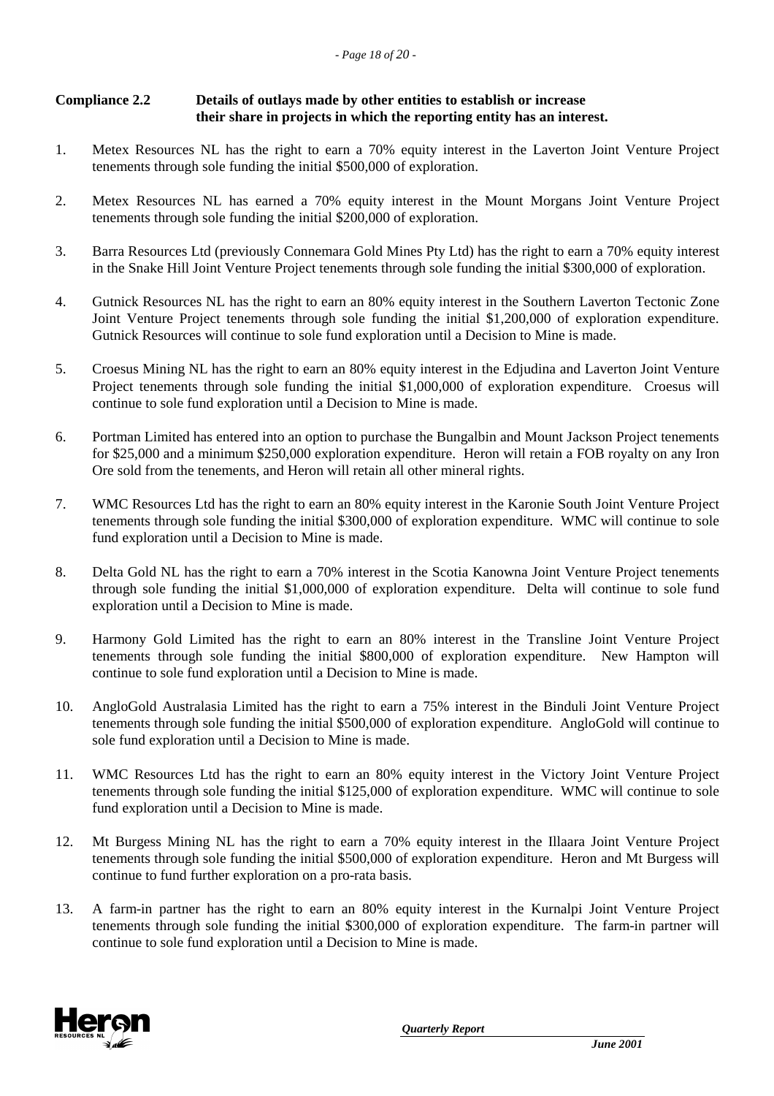#### **Compliance 2.2 Details of outlays made by other entities to establish or increase their share in projects in which the reporting entity has an interest.**

- 1. Metex Resources NL has the right to earn a 70% equity interest in the Laverton Joint Venture Project tenements through sole funding the initial \$500,000 of exploration.
- 2. Metex Resources NL has earned a 70% equity interest in the Mount Morgans Joint Venture Project tenements through sole funding the initial \$200,000 of exploration.
- 3. Barra Resources Ltd (previously Connemara Gold Mines Pty Ltd) has the right to earn a 70% equity interest in the Snake Hill Joint Venture Project tenements through sole funding the initial \$300,000 of exploration.
- 4. Gutnick Resources NL has the right to earn an 80% equity interest in the Southern Laverton Tectonic Zone Joint Venture Project tenements through sole funding the initial \$1,200,000 of exploration expenditure. Gutnick Resources will continue to sole fund exploration until a Decision to Mine is made.
- 5. Croesus Mining NL has the right to earn an 80% equity interest in the Edjudina and Laverton Joint Venture Project tenements through sole funding the initial \$1,000,000 of exploration expenditure. Croesus will continue to sole fund exploration until a Decision to Mine is made.
- 6. Portman Limited has entered into an option to purchase the Bungalbin and Mount Jackson Project tenements for \$25,000 and a minimum \$250,000 exploration expenditure. Heron will retain a FOB royalty on any Iron Ore sold from the tenements, and Heron will retain all other mineral rights.
- 7. WMC Resources Ltd has the right to earn an 80% equity interest in the Karonie South Joint Venture Project tenements through sole funding the initial \$300,000 of exploration expenditure. WMC will continue to sole fund exploration until a Decision to Mine is made.
- 8. Delta Gold NL has the right to earn a 70% interest in the Scotia Kanowna Joint Venture Project tenements through sole funding the initial \$1,000,000 of exploration expenditure. Delta will continue to sole fund exploration until a Decision to Mine is made.
- 9. Harmony Gold Limited has the right to earn an 80% interest in the Transline Joint Venture Project tenements through sole funding the initial \$800,000 of exploration expenditure. New Hampton will continue to sole fund exploration until a Decision to Mine is made.
- 10. AngloGold Australasia Limited has the right to earn a 75% interest in the Binduli Joint Venture Project tenements through sole funding the initial \$500,000 of exploration expenditure. AngloGold will continue to sole fund exploration until a Decision to Mine is made.
- 11. WMC Resources Ltd has the right to earn an 80% equity interest in the Victory Joint Venture Project tenements through sole funding the initial \$125,000 of exploration expenditure. WMC will continue to sole fund exploration until a Decision to Mine is made.
- 12. Mt Burgess Mining NL has the right to earn a 70% equity interest in the Illaara Joint Venture Project tenements through sole funding the initial \$500,000 of exploration expenditure. Heron and Mt Burgess will continue to fund further exploration on a pro-rata basis.
- 13. A farm-in partner has the right to earn an 80% equity interest in the Kurnalpi Joint Venture Project tenements through sole funding the initial \$300,000 of exploration expenditure. The farm-in partner will continue to sole fund exploration until a Decision to Mine is made.

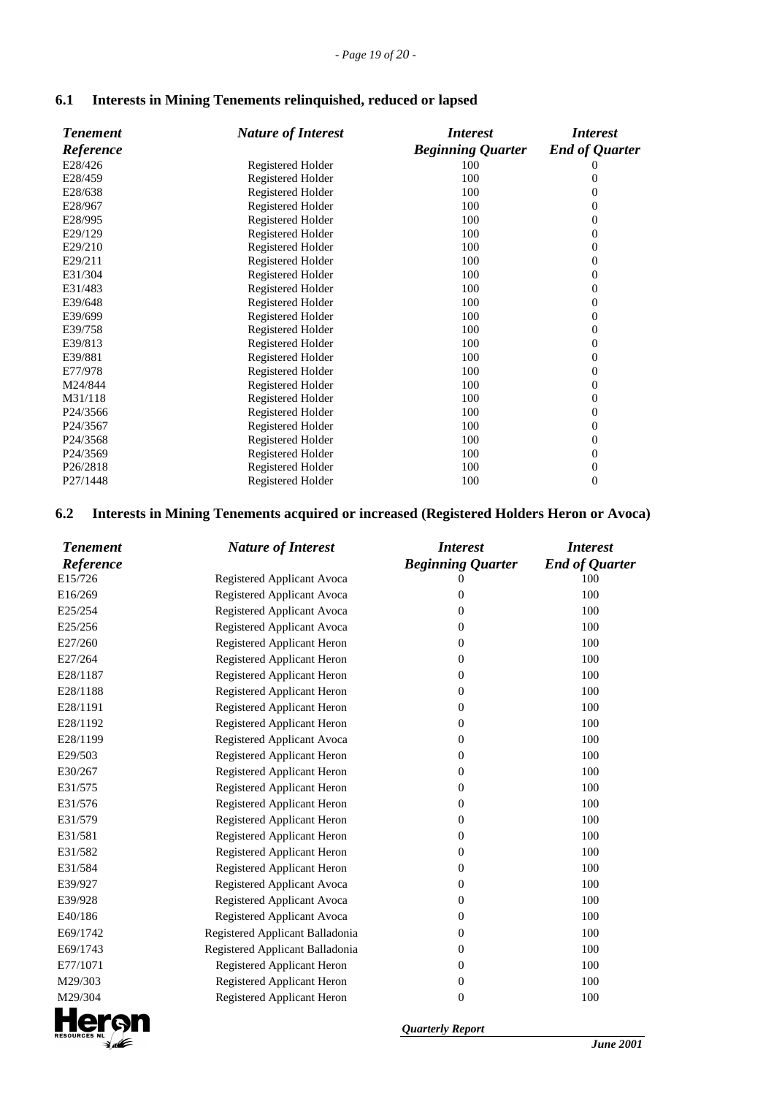| 6.1 |  | Interests in Mining Tenements relinquished, reduced or lapsed |  |
|-----|--|---------------------------------------------------------------|--|
|-----|--|---------------------------------------------------------------|--|

| <b>Tenement</b>       | <b>Nature of Interest</b> | <i>Interest</i>          | <i>Interest</i>       |
|-----------------------|---------------------------|--------------------------|-----------------------|
| Reference             |                           | <b>Beginning Quarter</b> | <b>End of Quarter</b> |
| E28/426               | Registered Holder         | 100                      |                       |
| E28/459               | Registered Holder         | 100                      | 0                     |
| E28/638               | Registered Holder         | 100                      | 0                     |
| E28/967               | Registered Holder         | 100                      | $\theta$              |
| E28/995               | Registered Holder         | 100                      | 0                     |
| E29/129               | Registered Holder         | 100                      | 0                     |
| E29/210               | Registered Holder         | 100                      | 0                     |
| E29/211               | Registered Holder         | 100                      | $\overline{0}$        |
| E31/304               | Registered Holder         | 100                      | 0                     |
| E31/483               | Registered Holder         | 100                      | 0                     |
| E39/648               | Registered Holder         | 100                      | 0                     |
| E39/699               | Registered Holder         | 100                      | 0                     |
| E39/758               | Registered Holder         | 100                      | 0                     |
| E39/813               | Registered Holder         | 100                      | 0                     |
| E39/881               | Registered Holder         | 100                      | 0                     |
| E77/978               | Registered Holder         | 100                      | 0                     |
| M24/844               | Registered Holder         | 100                      | 0                     |
| M31/118               | Registered Holder         | 100                      | 0                     |
| P24/3566              | Registered Holder         | 100                      | 0                     |
| P24/3567              | Registered Holder         | 100                      | $\boldsymbol{0}$      |
| P <sub>24</sub> /3568 | Registered Holder         | 100                      | 0                     |
| P24/3569              | Registered Holder         | 100                      | $\mathbf{0}$          |
| P <sub>26</sub> /2818 | Registered Holder         | 100                      | $\boldsymbol{0}$      |
| P27/1448              | Registered Holder         | 100                      | $\overline{0}$        |

### **6.2 Interests in Mining Tenements acquired or increased (Registered Holders Heron or Avoca)**

| <b>Tenement</b>     | <b>Nature of Interest</b>       | <i><b>Interest</b></i>   | <b>Interest</b>       |
|---------------------|---------------------------------|--------------------------|-----------------------|
| Reference           |                                 | <b>Beginning Quarter</b> | <b>End of Quarter</b> |
| E15/726             | Registered Applicant Avoca      | $\mathbf{0}$             | 100                   |
| E16/269             | Registered Applicant Avoca      | $\mathbf{0}$             | 100                   |
| E25/254             | Registered Applicant Avoca      | $\mathbf{0}$             | 100                   |
| E25/256             | Registered Applicant Avoca      | $\boldsymbol{0}$         | 100                   |
| E27/260             | Registered Applicant Heron      | $\boldsymbol{0}$         | 100                   |
| E27/264             | Registered Applicant Heron      | $\boldsymbol{0}$         | 100                   |
| E28/1187            | Registered Applicant Heron      | $\boldsymbol{0}$         | 100                   |
| E28/1188            | Registered Applicant Heron      | $\boldsymbol{0}$         | 100                   |
| E28/1191            | Registered Applicant Heron      | $\mathbf{0}$             | 100                   |
| E28/1192            | Registered Applicant Heron      | $\boldsymbol{0}$         | 100                   |
| E28/1199            | Registered Applicant Avoca      | $\boldsymbol{0}$         | 100                   |
| E29/503             | Registered Applicant Heron      | $\boldsymbol{0}$         | 100                   |
| E30/267             | Registered Applicant Heron      | $\boldsymbol{0}$         | 100                   |
| E31/575             | Registered Applicant Heron      | $\boldsymbol{0}$         | 100                   |
| E31/576             | Registered Applicant Heron      | $\boldsymbol{0}$         | 100                   |
| E31/579             | Registered Applicant Heron      | $\boldsymbol{0}$         | 100                   |
| E31/581             | Registered Applicant Heron      | $\boldsymbol{0}$         | 100                   |
| E31/582             | Registered Applicant Heron      | $\boldsymbol{0}$         | 100                   |
| E31/584             | Registered Applicant Heron      | $\boldsymbol{0}$         | 100                   |
| E39/927             | Registered Applicant Avoca      | $\boldsymbol{0}$         | 100                   |
| E39/928             | Registered Applicant Avoca      | $\boldsymbol{0}$         | 100                   |
| E40/186             | Registered Applicant Avoca      | $\overline{0}$           | 100                   |
| E69/1742            | Registered Applicant Balladonia | $\boldsymbol{0}$         | 100                   |
| E69/1743            | Registered Applicant Balladonia | $\boldsymbol{0}$         | 100                   |
| E77/1071            | Registered Applicant Heron      | $\boldsymbol{0}$         | 100                   |
| M29/303             | Registered Applicant Heron      | $\boldsymbol{0}$         | 100                   |
| M29/304             | Registered Applicant Heron      | $\overline{0}$           | 100                   |
| <b>RESOURCES NL</b> |                                 | <b>Quarterly Report</b>  |                       |
|                     |                                 |                          | <b>June 200</b>       |